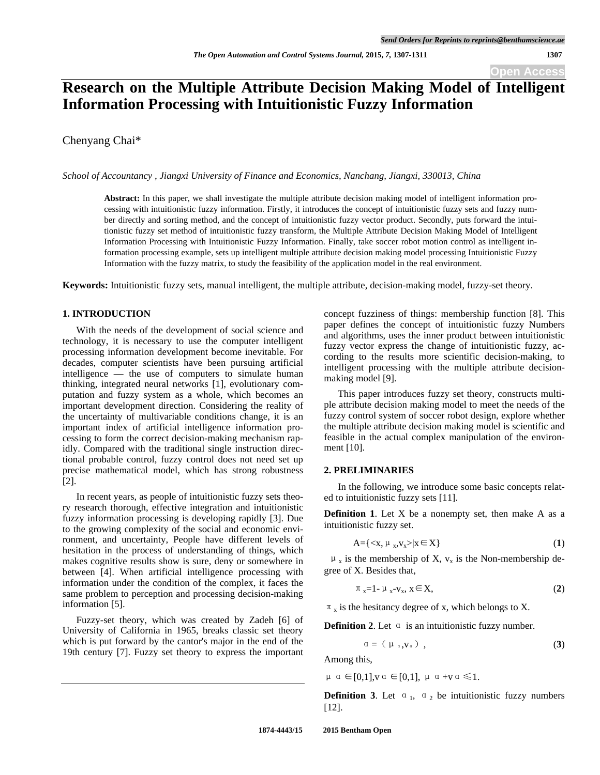# **Research on the Multiple Attribute Decision Making Model of Intelligent Information Processing with Intuitionistic Fuzzy Information**

Chenyang Chai\*

*School of Accountancy , Jiangxi University of Finance and Economics, Nanchang, Jiangxi, 330013, China* 

**Abstract:** In this paper, we shall investigate the multiple attribute decision making model of intelligent information processing with intuitionistic fuzzy information. Firstly, it introduces the concept of intuitionistic fuzzy sets and fuzzy number directly and sorting method, and the concept of intuitionistic fuzzy vector product. Secondly, puts forward the intuitionistic fuzzy set method of intuitionistic fuzzy transform, the Multiple Attribute Decision Making Model of Intelligent Information Processing with Intuitionistic Fuzzy Information. Finally, take soccer robot motion control as intelligent information processing example, sets up intelligent multiple attribute decision making model processing Intuitionistic Fuzzy Information with the fuzzy matrix, to study the feasibility of the application model in the real environment.

**Keywords:** Intuitionistic fuzzy sets, manual intelligent, the multiple attribute, decision-making model, fuzzy-set theory.

# **1. INTRODUCTION**

With the needs of the development of social science and technology, it is necessary to use the computer intelligent processing information development become inevitable. For decades, computer scientists have been pursuing artificial intelligence — the use of computers to simulate human thinking, integrated neural networks [1], evolutionary computation and fuzzy system as a whole, which becomes an important development direction. Considering the reality of the uncertainty of multivariable conditions change, it is an important index of artificial intelligence information processing to form the correct decision-making mechanism rapidly. Compared with the traditional single instruction directional probable control, fuzzy control does not need set up precise mathematical model, which has strong robustness [2].

In recent years, as people of intuitionistic fuzzy sets theory research thorough, effective integration and intuitionistic fuzzy information processing is developing rapidly [3]. Due to the growing complexity of the social and economic environment, and uncertainty, People have different levels of hesitation in the process of understanding of things, which makes cognitive results show is sure, deny or somewhere in between [4]. When artificial intelligence processing with information under the condition of the complex, it faces the same problem to perception and processing decision-making information [5].

Fuzzy-set theory, which was created by Zadeh [6] of University of California in 1965, breaks classic set theory which is put forward by the cantor's major in the end of the 19th century [7]. Fuzzy set theory to express the important

concept fuzziness of things: membership function [8]. This paper defines the concept of intuitionistic fuzzy Numbers and algorithms, uses the inner product between intuitionistic fuzzy vector express the change of intuitionistic fuzzy, according to the results more scientific decision-making, to intelligent processing with the multiple attribute decisionmaking model [9].

This paper introduces fuzzy set theory, constructs multiple attribute decision making model to meet the needs of the fuzzy control system of soccer robot design, explore whether the multiple attribute decision making model is scientific and feasible in the actual complex manipulation of the environment [10].

#### **2. PRELIMINARIES**

In the following, we introduce some basic concepts related to intuitionistic fuzzy sets [11].

**Definition 1**. Let X be a nonempty set, then make A as a intuitionistic fuzzy set.

$$
A = \{ \langle x, \mu_x, v_x \rangle | x \in X \}
$$
 (1)

 $\mu_x$  is the membership of X,  $v_x$  is the Non-membership degree of X. Besides that,

$$
\pi_{x}=1-\mu_{x}-v_{x}, x \in X,
$$
\n
$$
(2)
$$

 $\pi$ <sub>x</sub> is the hesitancy degree of x, which belongs to X.

**Definition 2.** Let  $\alpha$  is an intuitionistic fuzzy number.

$$
\alpha = (\mu_{\alpha}, V_{\alpha}) \tag{3}
$$

Among this,

 $\mu \alpha \in [0,1], v \alpha \in [0,1], \mu \alpha + v \alpha \leq 1.$ 

**Definition 3.** Let  $\alpha_1$ ,  $\alpha_2$  be intuitionistic fuzzy numbers [12].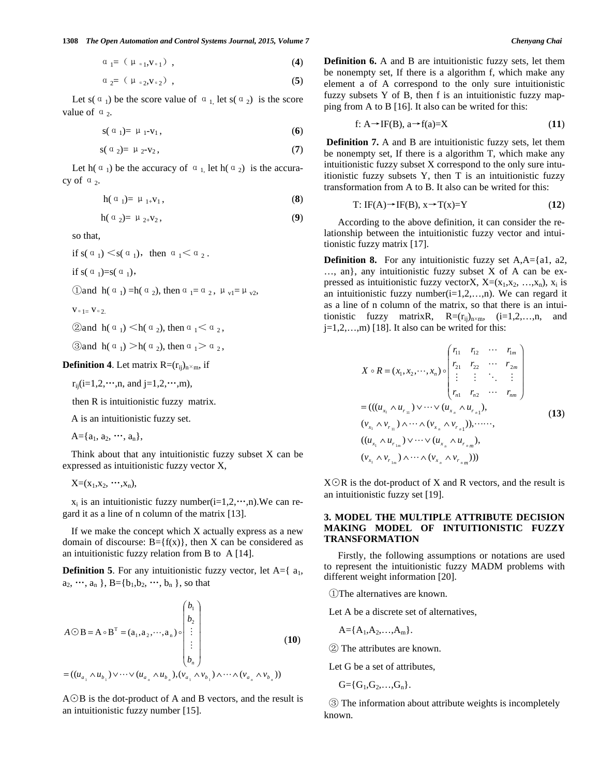$$
\alpha_{1}=(\mu_{a1},v_{a1}), \qquad (4)
$$

$$
\alpha_{2} = (\mu_{\alpha_2}, v_{\alpha_2}), \qquad (5)
$$

Let s( $\alpha_1$ ) be the score value of  $\alpha_1$ , let s( $\alpha_2$ ) is the score value of  $\alpha$ <sub>2</sub>.

$$
s(\alpha_1)=\mu_1-v_1,\qquad\qquad(6)
$$

$$
s(\alpha_2) = \mu_2 - v_2, \qquad (7)
$$

Let h( $\alpha_1$ ) be the accuracy of  $\alpha_1$ , let h( $\alpha_2$ ) is the accuracy of  $\alpha$ <sub>2</sub>.

$$
h(\alpha_1) = \mu_{1+}v_1, \qquad (8)
$$

$$
h(\alpha_2) = \mu_{2+}V_2,\tag{9}
$$

so that,

if  $s(\alpha_1) \leq s(\alpha_1)$ , then  $\alpha_1 \leq \alpha_2$ .

if s( $\alpha_1$ )=s( $\alpha_1$ ),

$$
\text{ 1 and } h\left(\alpha_1\right) = h\left(\alpha_2\right), \text{ then } \alpha_1 = \alpha_2, \mu_{v1} = \mu_{v2},
$$

 $V \circ 1 = V \circ 2$ .

$$
\text{2and } h\left(\begin{smallmatrix} \alpha & \\ & 1 \end{smallmatrix}\right) < h\left(\begin{smallmatrix} \alpha & \\ & 2 \end{smallmatrix}\right), \text{ then } \alpha_1 < \alpha_2,
$$

 $\textcircled{3}$  and  $h(\alpha_1) > h(\alpha_2)$ , then  $\alpha_1 > \alpha_2$ ,

### **Definition 4.** Let matrix  $R = (r_{ij})_{n \times m}$ , if

 $r_{ii}$ (i=1,2,…,n, and j=1,2,…,m),

then R is intuitionistic fuzzy matrix.

A is an intuitionistic fuzzy set.

 $A = \{a_1, a_2, \cdots, a_n\},\$ 

Think about that any intuitionistic fuzzy subset  $X$  can be expressed as intuitionistic fuzzy vector X,

 $X=(x_1,x_2, \dots, x_n),$ 

 $x_i$  is an intuitionistic fuzzy number( $i=1,2,\dots,n$ ). We can regard it as a line of n column of the matrix [13].

If we make the concept which X actually express as a new domain of discourse:  $B = \{f(x)\}\$ , then X can be considered as an intuitionistic fuzzy relation from B to A [14].

**Definition 5**. For any intuitionistic fuzzy vector, let  $A = \{a_1, a_2, \ldots, a_n\}$  $a_2, \dots, a_n$ ,  $B = \{b_1, b_2, \dots, b_n\}$ , so that

$$
A \odot B = A \circ B^{T} = (a_{1}, a_{2}, \cdots, a_{n}) \circ \begin{pmatrix} b_{1} \\ b_{2} \\ \vdots \\ b_{n} \end{pmatrix}
$$
  
=  $((u_{a_{1}} \wedge u_{b_{1}}) \vee \cdots \vee (u_{a_{n}} \wedge u_{b_{n}}), (v_{a_{1}} \wedge v_{b_{1}}) \wedge \cdots \wedge (v_{a_{n}} \wedge v_{b_{n}}))$  (10)

 $A \odot B$  is the dot-product of A and B vectors, and the result is an intuitionistic fuzzy number [15].

**Definition 6.** A and B are intuitionistic fuzzy sets, let them be nonempty set, If there is a algorithm f, which make any element a of A correspond to the only sure intuitionistic fuzzy subsets Y of B, then f is an intuitionistic fuzzy mapping from A to B [16]. It also can be writed for this:

$$
f: A \rightarrow IF(B), a \rightarrow f(a)=X \tag{11}
$$

**Definition 7.** A and B are intuitionistic fuzzy sets, let them be nonempty set, If there is a algorithm T, which make any intuitionistic fuzzy subset X correspond to the only sure intuitionistic fuzzy subsets Y, then T is an intuitionistic fuzzy transformation from A to B. It also can be writed for this:

$$
T: IF(A) \to IF(B), x \to T(x) = Y \tag{12}
$$

According to the above definition, it can consider the relationship between the intuitionistic fuzzy vector and intuitionistic fuzzy matrix [17].

**Definition 8.** For any intuitionistic fuzzy set A,A={a1, a2, …, an}, any intuitionistic fuzzy subset X of A can be expressed as intuitionistic fuzzy vectorX,  $X=(x_1,x_2, ..., x_n)$ ,  $x_i$  is an intuitionistic fuzzy number( $i=1,2,...,n$ ). We can regard it as a line of n column of the matrix, so that there is an intuitionistic fuzzy matrixR,  $R=(r_{ij})_{n\times m}$ , (i=1,2,...,n, and  $j=1,2,...,m$  [18]. It also can be writed for this:

$$
X \circ R = (x_1, x_2, \cdots, x_n) \circ \begin{pmatrix} r_{11} & r_{12} & \cdots & r_{1m} \\ r_{21} & r_{22} & \cdots & r_{2m} \\ \vdots & \vdots & \ddots & \vdots \\ r_{n1} & r_{n2} & \cdots & r_{nm} \end{pmatrix}
$$
  
=  $((u_{x_1} \land u_{r_{11}}) \lor \cdots \lor (u_{x_n} \land u_{r_{n1}}),$   
 $(v_{x_1} \land v_{r_{11}}) \land \cdots \land (v_{x_n} \land v_{r_{n1}})), \cdots \cdots,$   
 $((u_{x_1} \land u_{r_{1m}}) \lor \cdots \lor (u_{x_n} \land u_{r_{nm}}),$   
 $(v_{x_1} \land v_{r_{1m}}) \land \cdots \land (v_{x_n} \land v_{r_{nm}}))$  (13)

 $X\odot R$  is the dot-product of X and R vectors, and the result is an intuitionistic fuzzy set [19].

# **3. MODEL THE MULTIPLE ATTRIBUTE DECISION MAKING MODEL OF INTUITIONISTIC FUZZY TRANSFORMATION**

Firstly, the following assumptions or notations are used to represent the intuitionistic fuzzy MADM problems with different weight information [20].

The alternatives are known.

Let A be a discrete set of alternatives,

$$
A = \{A_1, A_2, \ldots, A_m\}.
$$

The attributes are known.

Let G be a set of attributes,

 $G = \{G_1, G_2, \ldots, G_n\}.$ 

 The information about attribute weights is incompletely known.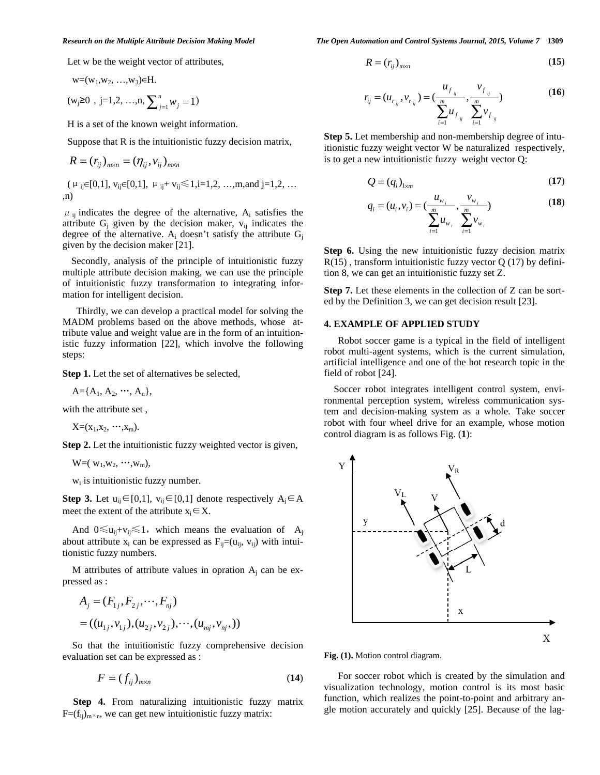Let w be the weight vector of attributes,

$$
w=(w_1,w_2,...,w_3) \in H.
$$

 $(w_j \ge 0, j=1,2, ..., n, \sum_{j=1}^n w_j = 1)$  $\sum_{j=1}^{i} w_j = 1$ 

H is a set of the known weight information.

Suppose that R is the intuitionistic fuzzy decision matrix,

$$
R = (r_{ij})_{m \times n} = (\eta_{ij}, v_{ij})_{m \times n}
$$

$$
(\mu_{ij} \in [0,1], v_{ij} \in [0,1], \mu_{ij} + v_{ij} \le 1, i=1,2, ..., m, and j=1,2, ...
$$
  
,n)

 $\mu_{ij}$  indicates the degree of the alternative, A<sub>i</sub> satisfies the attribute  $G_j$  given by the decision maker,  $v_{ij}$  indicates the degree of the alternative.  $A_i$  doesn't satisfy the attribute  $G_j$ given by the decision maker [21].

Secondly, analysis of the principle of intuitionistic fuzzy multiple attribute decision making, we can use the principle of intuitionistic fuzzy transformation to integrating information for intelligent decision.

Thirdly, we can develop a practical model for solving the MADM problems based on the above methods, whose attribute value and weight value are in the form of an intuitionistic fuzzy information [22], which involve the following steps:

**Step 1.** Let the set of alternatives be selected,

$$
A{=}\{A_1, A_2, \cdots, A_n\},
$$

with the attribute set ,

 $X=(x_1,x_2, \cdots, x_m).$ 

**Step 2.** Let the intuitionistic fuzzy weighted vector is given,

 $W=(w_1,w_2, \cdots, w_m),$ 

w<sub>i</sub> is intuitionistic fuzzy number.

**Step 3.** Let  $u_{ij} \in [0,1]$ ,  $v_{ij} \in [0,1]$  denote respectively  $A_j \in A$ meet the extent of the attribute  $x_i \in X$ .

And  $0 \le u_{ii}+v_{ii} \le 1$ , which means the evaluation of A<sub>i</sub> about attribute  $x_i$  can be expressed as  $F_{ij}=(u_{ij}, v_{ij})$  with intuitionistic fuzzy numbers.

M attributes of attribute values in opration  $A_i$  can be expressed as :

$$
A_j = (F_{1j}, F_{2j}, \cdots, F_{nj})
$$
  
= ((u<sub>1j</sub>, v<sub>1j</sub>), (u<sub>2j</sub>, v<sub>2j</sub>),  $\cdots$ , (u<sub>mj</sub>, v<sub>nj</sub>,))

So that the intuitionistic fuzzy comprehensive decision evaluation set can be expressed as :

$$
F = (f_{ij})_{m \times n} \tag{14}
$$

**Step 4.** From naturalizing intuitionistic fuzzy matrix  $F=(f_{ij})_{m \times n}$ , we can get new intuitionistic fuzzy matrix:

*Research on the Multiple Attribute Decision Making Model The Open Automation and Control Systems Journal, 2015, Volume 7* **1309**

$$
R = (r_{ij})_{m \times n} \tag{15}
$$

$$
r_{ij} = (u_{r_{ij}}, v_{r_{ij}}) = \left(\frac{u_{f_{ij}}}{\sum_{i=1}^{m} u_{f_{ij}}}, \frac{v_{f_{ij}}}{\sum_{i=1}^{m} v_{f_{ij}}}\right)
$$
(16)

**Step 5.** Let membership and non-membership degree of intuitionistic fuzzy weight vector W be naturalized respectively, is to get a new intuitionistic fuzzy weight vector Q:

$$
Q = (q_i)_{1 \times m} \tag{17}
$$

$$
q_i = (u_i, v_i) = \left(\frac{u_{w_i}}{\sum_{i=1}^m u_{w_i}}, \frac{v_{w_i}}{\sum_{i=1}^m v_{w_i}}\right)
$$
(18)

**Step 6.** Using the new intuitionistic fuzzy decision matrix  $R(15)$ , transform intuitionistic fuzzy vector Q (17) by definition 8, we can get an intuitionistic fuzzy set Z.

**Step 7.** Let these elements in the collection of Z can be sorted by the Definition 3, we can get decision result [23].

# **4. EXAMPLE OF APPLIED STUDY**

Robot soccer game is a typical in the field of intelligent robot multi-agent systems, which is the current simulation, artificial intelligence and one of the hot research topic in the field of robot [24].

Soccer robot integrates intelligent control system, environmental perception system, wireless communication system and decision-making system as a whole. Take soccer robot with four wheel drive for an example, whose motion control diagram is as follows Fig. (**1**):



**Fig. (1).** Motion control diagram.

For soccer robot which is created by the simulation and visualization technology, motion control is its most basic function, which realizes the point-to-point and arbitrary angle motion accurately and quickly [25]. Because of the lag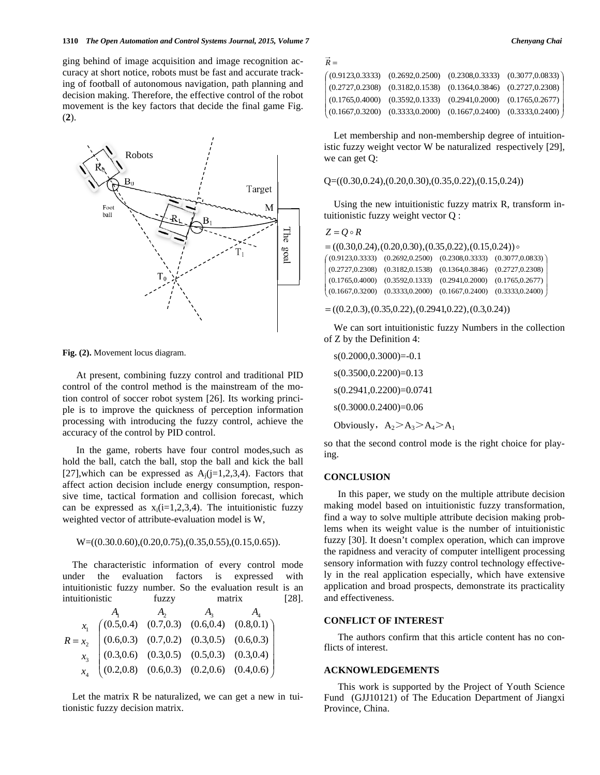ging behind of image acquisition and image recognition accuracy at short notice, robots must be fast and accurate tracking of football of autonomous navigation, path planning and decision making. Therefore, the effective control of the robot movement is the key factors that decide the final game Fig. (**2**).



**Fig. (2).** Movement locus diagram.

At present, combining fuzzy control and traditional PID control of the control method is the mainstream of the motion control of soccer robot system [26]. Its working principle is to improve the quickness of perception information processing with introducing the fuzzy control, achieve the accuracy of the control by PID control.

In the game, roberts have four control modes,such as hold the ball, catch the ball, stop the ball and kick the ball [27], which can be expressed as  $A_i$ (j=1,2,3,4). Factors that affect action decision include energy consumption, responsive time, tactical formation and collision forecast, which can be expressed as  $x_i(i=1,2,3,4)$ . The intuitionistic fuzzy weighted vector of attribute-evaluation model is W,

W=((0.30.0.60),(0.20,0.75),(0.35,0.55),(0.15,0.65)).

The characteristic information of every control mode under the evaluation factors is expressed with intuitionistic fuzzy number. So the evaluation result is an intuitionistic fuzzy matrix [28].

|  | $A_{2}$ $A_{3}$ |                                                                                                                                                                                                          |
|--|-----------------|----------------------------------------------------------------------------------------------------------------------------------------------------------------------------------------------------------|
|  |                 |                                                                                                                                                                                                          |
|  |                 |                                                                                                                                                                                                          |
|  |                 |                                                                                                                                                                                                          |
|  |                 | $R = x_2$ (0.5,0.4) (0.7,0.3) (0.6,0.4) (0.8,0.1)<br>$R = x_2$ (0.6,0.3) (0.7,0.2) (0.3,0.5) (0.6,0.3)<br>$x_3$ (0.3,0.6) (0.3,0.5) (0.5,0.3) (0.3,0.4)<br>$x_4$ (0.2,0.8) (0.6,0.3) (0.2,0.6) (0.4,0.6) |

Let the matrix R be naturalized, we can get a new in tuitionistic fuzzy decision matrix.

| $R =$ |                                                                             |  |
|-------|-----------------------------------------------------------------------------|--|
|       | $(0.9123, 0.3333)$ $(0.2692, 0.2500)$ $(0.2308, 0.3333)$ $(0.3077, 0.0833)$ |  |
|       | $(0.2727, 0.2308)$ $(0.3182, 0.1538)$ $(0.1364, 0.3846)$ $(0.2727, 0.2308)$ |  |
|       | $(0.1765, 0.4000)$ $(0.3592, 0.1333)$ $(0.2941, 0.2000)$ $(0.1765, 0.2677)$ |  |
|       | $(0.1667, 0.3200)$ $(0.3333, 0.2000)$ $(0.1667, 0.2400)$ $(0.3333, 0.2400)$ |  |

Let membership and non-membership degree of intuitionistic fuzzy weight vector W be naturalized respectively [29], we can get Q:

 $Q=( (0.30, 0.24), (0.20, 0.30), (0.35, 0.22), (0.15, 0.24) )$ 

Using the new intuitionistic fuzzy matrix R, transform intuitionistic fuzzy weight vector Q :

```
Z = Q \circ R
```

| $= ((0.30, 0.24), (0.20, 0.30), (0.35, 0.22), (0.15, 0.24))$ |  |                                                                             |  |  |  |  |  |
|--------------------------------------------------------------|--|-----------------------------------------------------------------------------|--|--|--|--|--|
|                                                              |  | $(0.9123, 0.3333)$ $(0.2692, 0.2500)$ $(0.2308, 0.3333)$ $(0.3077, 0.0833)$ |  |  |  |  |  |
|                                                              |  | $(0.2727, 0.2308)$ $(0.3182, 0.1538)$ $(0.1364, 0.3846)$ $(0.2727, 0.2308)$ |  |  |  |  |  |
|                                                              |  | $(0.1765, 0.4000)$ $(0.3592, 0.1333)$ $(0.2941, 0.2000)$ $(0.1765, 0.2677)$ |  |  |  |  |  |
|                                                              |  | $(0.1667, 0.3200)$ $(0.3333, 0.2000)$ $(0.1667, 0.2400)$ $(0.3333, 0.2400)$ |  |  |  |  |  |

 $= ((0.2, 0.3), (0.35, 0.22), (0.2941, 0.22), (0.3, 0.24))$ 

We can sort intuitionistic fuzzy Numbers in the collection of Z by the Definition 4:

```
s(0.2000, 0.3000) = -0.1s(0.3500,0.2200)=0.13 
s(0.2941,0.2200)=0.0741 
s(0.3000.0.2400)=0.06 
Obviously, A_2 > A_3 > A_4 > A_1
```
so that the second control mode is the right choice for playing.

#### **CONCLUSION**

In this paper, we study on the multiple attribute decision making model based on intuitionistic fuzzy transformation, find a way to solve multiple attribute decision making problems when its weight value is the number of intuitionistic fuzzy [30]. It doesn't complex operation, which can improve the rapidness and veracity of computer intelligent processing sensory information with fuzzy control technology effectively in the real application especially, which have extensive application and broad prospects, demonstrate its practicality and effectiveness.

# **CONFLICT OF INTEREST**

The authors confirm that this article content has no conflicts of interest.

# **ACKNOWLEDGEMENTS**

This work is supported by the Project of Youth Science Fund (GJJ10121) of The Education Department of Jiangxi Province, China.